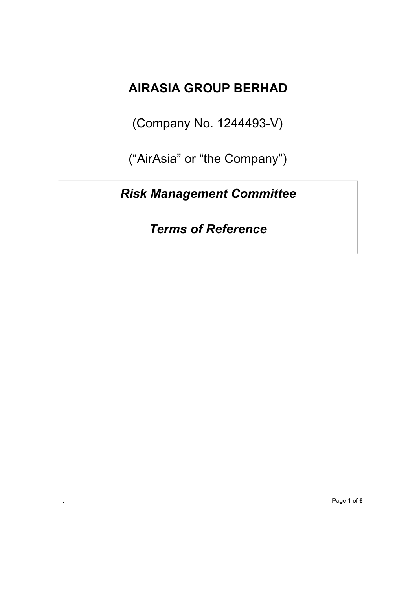## **AIRASIA GROUP BERHAD**

(Company No. 1244493-V)

("AirAsia" or "the Company")

## *Risk Management Committee*

*Terms of Reference*

*.* Page **1** of **6**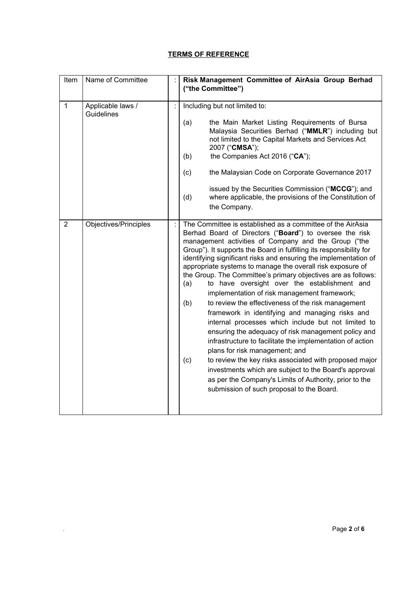## **TERMS OF REFERENCE**

| Item           | Name of Committee                      | Risk Management Committee of AirAsia Group Berhad<br>("the Committee")                                                                                                                                                                                                                                                                                                                                                                                                                                                                                                                                                                                                                                                                                                                                                                                                                                                                                                                                                                                                                                                       |
|----------------|----------------------------------------|------------------------------------------------------------------------------------------------------------------------------------------------------------------------------------------------------------------------------------------------------------------------------------------------------------------------------------------------------------------------------------------------------------------------------------------------------------------------------------------------------------------------------------------------------------------------------------------------------------------------------------------------------------------------------------------------------------------------------------------------------------------------------------------------------------------------------------------------------------------------------------------------------------------------------------------------------------------------------------------------------------------------------------------------------------------------------------------------------------------------------|
| $\mathbf{1}$   | Applicable laws /<br><b>Guidelines</b> | Including but not limited to:<br>the Main Market Listing Requirements of Bursa<br>(a)<br>Malaysia Securities Berhad ("MMLR") including but<br>not limited to the Capital Markets and Services Act<br>2007 ("CMSA");<br>the Companies Act 2016 ("CA");<br>(b)<br>(c)<br>the Malaysian Code on Corporate Governance 2017<br>issued by the Securities Commission ("MCCG"); and<br>where applicable, the provisions of the Constitution of<br>(d)<br>the Company.                                                                                                                                                                                                                                                                                                                                                                                                                                                                                                                                                                                                                                                                |
| $\overline{2}$ | Objectives/Principles                  | The Committee is established as a committee of the AirAsia<br>Berhad Board of Directors ("Board") to oversee the risk<br>management activities of Company and the Group ("the<br>Group"). It supports the Board in fulfilling its responsibility for<br>identifying significant risks and ensuring the implementation of<br>appropriate systems to manage the overall risk exposure of<br>the Group. The Committee's primary objectives are as follows:<br>to have oversight over the establishment and<br>(a)<br>implementation of risk management framework;<br>to review the effectiveness of the risk management<br>(b)<br>framework in identifying and managing risks and<br>internal processes which include but not limited to<br>ensuring the adequacy of risk management policy and<br>infrastructure to facilitate the implementation of action<br>plans for risk management; and<br>to review the key risks associated with proposed major<br>(c)<br>investments which are subject to the Board's approval<br>as per the Company's Limits of Authority, prior to the<br>submission of such proposal to the Board. |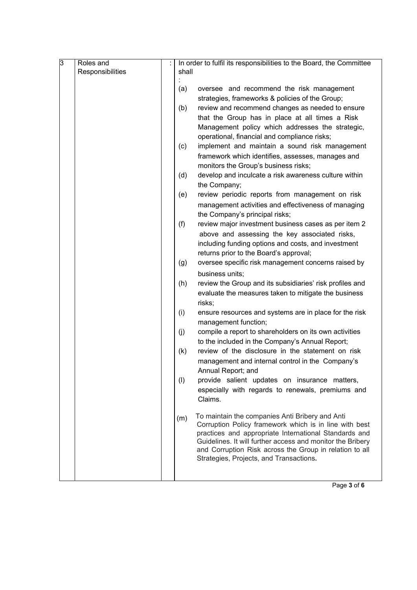| β | Roles and        | In order to fulfil its responsibilities to the Board, the Committee                                          |
|---|------------------|--------------------------------------------------------------------------------------------------------------|
|   | Responsibilities | shall                                                                                                        |
|   |                  |                                                                                                              |
|   |                  | oversee and recommend the risk management<br>(a)                                                             |
|   |                  | strategies, frameworks & policies of the Group;                                                              |
|   |                  | (b)<br>review and recommend changes as needed to ensure                                                      |
|   |                  | that the Group has in place at all times a Risk                                                              |
|   |                  | Management policy which addresses the strategic,                                                             |
|   |                  | operational, financial and compliance risks;                                                                 |
|   |                  | (c)<br>implement and maintain a sound risk management                                                        |
|   |                  | framework which identifies, assesses, manages and                                                            |
|   |                  | monitors the Group's business risks;                                                                         |
|   |                  | develop and inculcate a risk awareness culture within<br>(d)                                                 |
|   |                  | the Company;                                                                                                 |
|   |                  | (e)<br>review periodic reports from management on risk                                                       |
|   |                  | management activities and effectiveness of managing                                                          |
|   |                  | the Company's principal risks;                                                                               |
|   |                  | (f)<br>review major investment business cases as per item 2<br>above and assessing the key associated risks, |
|   |                  | including funding options and costs, and investment                                                          |
|   |                  | returns prior to the Board's approval;                                                                       |
|   |                  | (g)<br>oversee specific risk management concerns raised by                                                   |
|   |                  | business units;                                                                                              |
|   |                  | (h)<br>review the Group and its subsidiaries' risk profiles and                                              |
|   |                  | evaluate the measures taken to mitigate the business                                                         |
|   |                  | risks;                                                                                                       |
|   |                  | (i)<br>ensure resources and systems are in place for the risk                                                |
|   |                  | management function;                                                                                         |
|   |                  | compile a report to shareholders on its own activities<br>(j)                                                |
|   |                  | to the included in the Company's Annual Report;                                                              |
|   |                  | review of the disclosure in the statement on risk<br>(k)                                                     |
|   |                  | management and internal control in the Company's                                                             |
|   |                  | Annual Report; and                                                                                           |
|   |                  | (1)<br>provide salient updates on insurance matters,                                                         |
|   |                  | especially with regards to renewals, premiums and                                                            |
|   |                  | Claims.                                                                                                      |
|   |                  | To maintain the companies Anti Bribery and Anti                                                              |
|   |                  | (m)<br>Corruption Policy framework which is in line with best                                                |
|   |                  | practices and appropriate International Standards and                                                        |
|   |                  | Guidelines. It will further access and monitor the Bribery                                                   |
|   |                  | and Corruption Risk across the Group in relation to all                                                      |
|   |                  | Strategies, Projects, and Transactions.                                                                      |
|   |                  |                                                                                                              |

Page **3** of **6**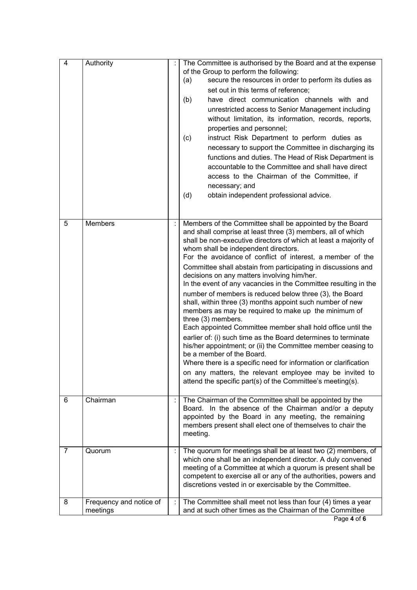| $\overline{4}$ | Authority                           | The Committee is authorised by the Board and at the expense<br>of the Group to perform the following:<br>secure the resources in order to perform its duties as<br>(a)<br>set out in this terms of reference;<br>have direct communication channels with and<br>(b)<br>unrestricted access to Senior Management including<br>without limitation, its information, records, reports,<br>properties and personnel;<br>instruct Risk Department to perform duties as<br>(c)<br>necessary to support the Committee in discharging its<br>functions and duties. The Head of Risk Department is<br>accountable to the Committee and shall have direct<br>access to the Chairman of the Committee, if<br>necessary; and<br>obtain independent professional advice.<br>(d)                                                                                                                                                                                                                                                                                                                                                   |
|----------------|-------------------------------------|----------------------------------------------------------------------------------------------------------------------------------------------------------------------------------------------------------------------------------------------------------------------------------------------------------------------------------------------------------------------------------------------------------------------------------------------------------------------------------------------------------------------------------------------------------------------------------------------------------------------------------------------------------------------------------------------------------------------------------------------------------------------------------------------------------------------------------------------------------------------------------------------------------------------------------------------------------------------------------------------------------------------------------------------------------------------------------------------------------------------|
| 5              | <b>Members</b>                      | Members of the Committee shall be appointed by the Board<br>and shall comprise at least three (3) members, all of which<br>shall be non-executive directors of which at least a majority of<br>whom shall be independent directors.<br>For the avoidance of conflict of interest, a member of the<br>Committee shall abstain from participating in discussions and<br>decisions on any matters involving him/her.<br>In the event of any vacancies in the Committee resulting in the<br>number of members is reduced below three (3), the Board<br>shall, within three (3) months appoint such number of new<br>members as may be required to make up the minimum of<br>three (3) members.<br>Each appointed Committee member shall hold office until the<br>earlier of: (i) such time as the Board determines to terminate<br>his/her appointment; or (ii) the Committee member ceasing to<br>be a member of the Board.<br>Where there is a specific need for information or clarification<br>on any matters, the relevant employee may be invited to<br>attend the specific part(s) of the Committee's meeting(s). |
| 6              | Chairman                            | The Chairman of the Committee shall be appointed by the<br>Board. In the absence of the Chairman and/or a deputy<br>appointed by the Board in any meeting, the remaining<br>members present shall elect one of themselves to chair the<br>meeting.                                                                                                                                                                                                                                                                                                                                                                                                                                                                                                                                                                                                                                                                                                                                                                                                                                                                   |
| 7              | Quorum                              | The quorum for meetings shall be at least two (2) members, of<br>which one shall be an independent director. A duly convened<br>meeting of a Committee at which a quorum is present shall be<br>competent to exercise all or any of the authorities, powers and<br>discretions vested in or exercisable by the Committee.                                                                                                                                                                                                                                                                                                                                                                                                                                                                                                                                                                                                                                                                                                                                                                                            |
| 8              | Frequency and notice of<br>meetings | The Committee shall meet not less than four (4) times a year<br>and at such other times as the Chairman of the Committee                                                                                                                                                                                                                                                                                                                                                                                                                                                                                                                                                                                                                                                                                                                                                                                                                                                                                                                                                                                             |

Page **4** of **6**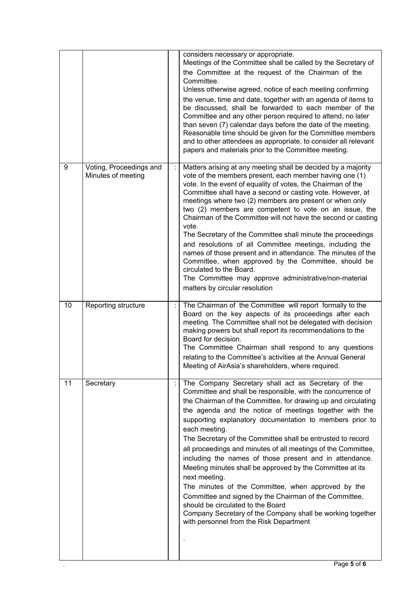|    |                                               |   | considers necessary or appropriate.<br>Meetings of the Committee shall be called by the Secretary of<br>the Committee at the request of the Chairman of the<br>Committee.<br>Unless otherwise agreed, notice of each meeting confirming<br>the venue, time and date, together with an agenda of items to<br>be discussed, shall be forwarded to each member of the<br>Committee and any other person required to attend, no later<br>than seven (7) calendar days before the date of the meeting.<br>Reasonable time should be given for the Committee members<br>and to other attendees as appropriate, to consider all relevant<br>papers and materials prior to the Committee meeting.                                                                                                                                                                          |
|----|-----------------------------------------------|---|--------------------------------------------------------------------------------------------------------------------------------------------------------------------------------------------------------------------------------------------------------------------------------------------------------------------------------------------------------------------------------------------------------------------------------------------------------------------------------------------------------------------------------------------------------------------------------------------------------------------------------------------------------------------------------------------------------------------------------------------------------------------------------------------------------------------------------------------------------------------|
| 9  | Voting, Proceedings and<br>Minutes of meeting | ÷ | Matters arising at any meeting shall be decided by a majority<br>vote of the members present, each member having one (1)<br>vote. In the event of equality of votes, the Chairman of the<br>Committee shall have a second or casting vote. However, at<br>meetings where two (2) members are present or when only<br>two (2) members are competent to vote on an issue, the<br>Chairman of the Committee will not have the second or casting<br>vote.<br>The Secretary of the Committee shall minute the proceedings<br>and resolutions of all Committee meetings, including the<br>names of those present and in attendance. The minutes of the<br>Committee, when approved by the Committee, should be<br>circulated to the Board.<br>The Committee may approve administrative/non-material<br>matters by circular resolution                                    |
| 10 | Reporting structure                           |   | The Chairman of the Committee will report formally to the<br>Board on the key aspects of its proceedings after each<br>meeting. The Committee shall not be delegated with decision<br>making powers but shall report its recommendations to the<br>Board for decision.<br>The Committee Chairman shall respond to any questions<br>relating to the Committee's activities at the Annual General<br>Meeting of AirAsia's shareholders, where required.                                                                                                                                                                                                                                                                                                                                                                                                              |
| 11 | Secretary                                     |   | The Company Secretary shall act as Secretary of the<br>Committee and shall be responsible, with the concurrence of<br>the Chairman of the Committee, for drawing up and circulating<br>the agenda and the notice of meetings together with the<br>supporting explanatory documentation to members prior to<br>each meeting.<br>The Secretary of the Committee shall be entrusted to record<br>all proceedings and minutes of all meetings of the Committee,<br>including the names of those present and in attendance.<br>Meeting minutes shall be approved by the Committee at its<br>next meeting.<br>The minutes of the Committee, when approved by the<br>Committee and signed by the Chairman of the Committee,<br>should be circulated to the Board<br>Company Secretary of the Company shall be working together<br>with personnel from the Risk Department |